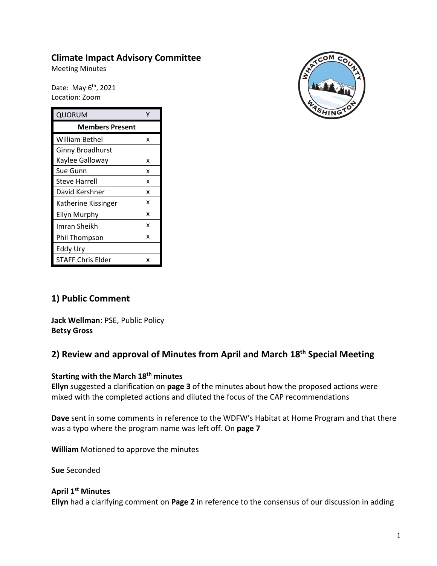# **Climate Impact Advisory Committee**

Meeting Minutes

Date: May 6<sup>th</sup>, 2021 Location: Zoom

| QUORUM                   | γ |
|--------------------------|---|
| <b>Members Present</b>   |   |
| William Bethel           | x |
| <b>Ginny Broadhurst</b>  |   |
| Kaylee Galloway          | x |
| Sue Gunn                 | x |
| <b>Steve Harrell</b>     | x |
| David Kershner           | x |
| Katherine Kissinger      | x |
| <b>Ellyn Murphy</b>      | x |
| Imran Sheikh             | x |
| Phil Thompson            | x |
| Eddy Ury                 |   |
| <b>STAFF Chris Elder</b> | x |



# **1) Public Comment**

**Jack Wellman**: PSE, Public Policy **Betsy Gross**

# **2) Review and approval of Minutes from April and March 18th Special Meeting**

#### **Starting with the March 18th minutes**

**Ellyn** suggested a clarification on **page 3** of the minutes about how the proposed actions were mixed with the completed actions and diluted the focus of the CAP recommendations

**Dave** sent in some comments in reference to the WDFW's Habitat at Home Program and that there was a typo where the program name was left off. On **page 7**

**William** Motioned to approve the minutes

**Sue** Seconded

#### **April 1st Minutes**

**Ellyn** had a clarifying comment on **Page 2** in reference to the consensus of our discussion in adding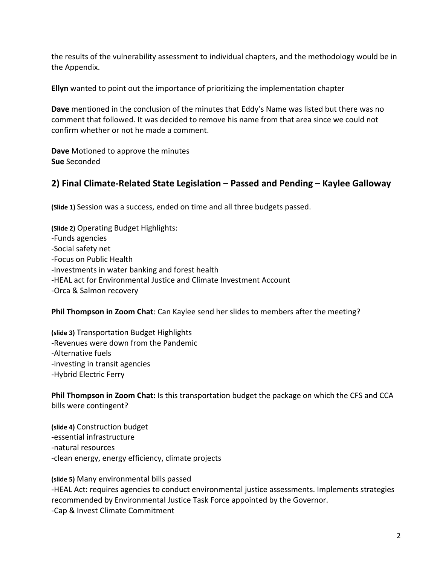the results of the vulnerability assessment to individual chapters, and the methodology would be in the Appendix.

**Ellyn** wanted to point out the importance of prioritizing the implementation chapter

**Dave** mentioned in the conclusion of the minutes that Eddy's Name was listed but there was no comment that followed. It was decided to remove his name from that area since we could not confirm whether or not he made a comment.

**Dave** Motioned to approve the minutes **Sue** Seconded

# **2) Final Climate-Related State Legislation – Passed and Pending – Kaylee Galloway**

**(Slide 1)** Session was a success, ended on time and all three budgets passed.

**(Slide 2)** Operating Budget Highlights: -Funds agencies -Social safety net -Focus on Public Health -Investments in water banking and forest health -HEAL act for Environmental Justice and Climate Investment Account -Orca & Salmon recovery

**Phil Thompson in Zoom Chat**: Can Kaylee send her slides to members after the meeting?

**(slide 3)** Transportation Budget Highlights -Revenues were down from the Pandemic -Alternative fuels -investing in transit agencies -Hybrid Electric Ferry

**Phil Thompson in Zoom Chat:** Is this transportation budget the package on which the CFS and CCA bills were contingent?

**(slide 4)** Construction budget -essential infrastructure -natural resources -clean energy, energy efficiency, climate projects

**(slide 5)** Many environmental bills passed -HEAL Act: requires agencies to conduct environmental justice assessments. Implements strategies recommended by Environmental Justice Task Force appointed by the Governor. -Cap & Invest Climate Commitment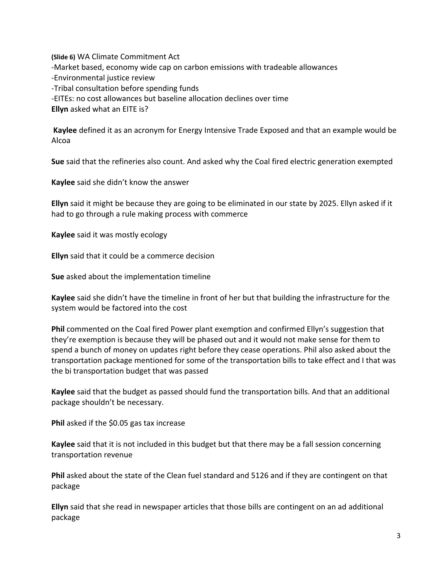**(Slide 6)** WA Climate Commitment Act -Market based, economy wide cap on carbon emissions with tradeable allowances -Environmental justice review -Tribal consultation before spending funds -EITEs: no cost allowances but baseline allocation declines over time **Ellyn** asked what an EITE is?

**Kaylee** defined it as an acronym for Energy Intensive Trade Exposed and that an example would be Alcoa

**Sue** said that the refineries also count. And asked why the Coal fired electric generation exempted

**Kaylee** said she didn't know the answer

**Ellyn** said it might be because they are going to be eliminated in our state by 2025. Ellyn asked if it had to go through a rule making process with commerce

**Kaylee** said it was mostly ecology

**Ellyn** said that it could be a commerce decision

**Sue** asked about the implementation timeline

**Kaylee** said she didn't have the timeline in front of her but that building the infrastructure for the system would be factored into the cost

**Phil** commented on the Coal fired Power plant exemption and confirmed Ellyn's suggestion that they're exemption is because they will be phased out and it would not make sense for them to spend a bunch of money on updates right before they cease operations. Phil also asked about the transportation package mentioned for some of the transportation bills to take effect and I that was the bi transportation budget that was passed

**Kaylee** said that the budget as passed should fund the transportation bills. And that an additional package shouldn't be necessary.

**Phil** asked if the \$0.05 gas tax increase

**Kaylee** said that it is not included in this budget but that there may be a fall session concerning transportation revenue

**Phil** asked about the state of the Clean fuel standard and 5126 and if they are contingent on that package

**Ellyn** said that she read in newspaper articles that those bills are contingent on an ad additional package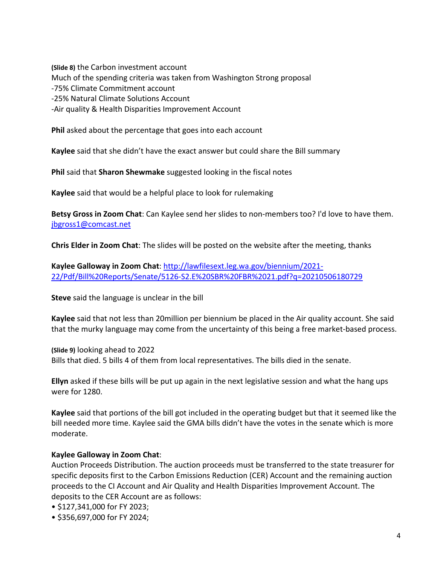**(Slide 8)** the Carbon investment account Much of the spending criteria was taken from Washington Strong proposal -75% Climate Commitment account -25% Natural Climate Solutions Account -Air quality & Health Disparities Improvement Account

**Phil** asked about the percentage that goes into each account

**Kaylee** said that she didn't have the exact answer but could share the Bill summary

**Phil** said that **Sharon Shewmake** suggested looking in the fiscal notes

**Kaylee** said that would be a helpful place to look for rulemaking

**Betsy Gross in Zoom Chat**: Can Kaylee send her slides to non-members too? I'd love to have them. [jbgross1@comcast.net](mailto:jbgross1@comcast.net)

**Chris Elder in Zoom Chat**: The slides will be posted on the website after the meeting, thanks

**Kaylee Galloway in Zoom Chat**: [http://lawfilesext.leg.wa.gov/biennium/2021-](http://lawfilesext.leg.wa.gov/biennium/2021-22/Pdf/Bill%20Reports/Senate/5126-S2.E%20SBR%20FBR%2021.pdf?q=20210506180729) [22/Pdf/Bill%20Reports/Senate/5126-S2.E%20SBR%20FBR%2021.pdf?q=20210506180729](http://lawfilesext.leg.wa.gov/biennium/2021-22/Pdf/Bill%20Reports/Senate/5126-S2.E%20SBR%20FBR%2021.pdf?q=20210506180729)

**Steve** said the language is unclear in the bill

**Kaylee** said that not less than 20million per biennium be placed in the Air quality account. She said that the murky language may come from the uncertainty of this being a free market-based process.

**(Slide 9)** looking ahead to 2022 Bills that died. 5 bills 4 of them from local representatives. The bills died in the senate.

**Ellyn** asked if these bills will be put up again in the next legislative session and what the hang ups were for 1280.

**Kaylee** said that portions of the bill got included in the operating budget but that it seemed like the bill needed more time. Kaylee said the GMA bills didn't have the votes in the senate which is more moderate.

#### **Kaylee Galloway in Zoom Chat**:

Auction Proceeds Distribution. The auction proceeds must be transferred to the state treasurer for specific deposits first to the Carbon Emissions Reduction (CER) Account and the remaining auction proceeds to the CI Account and Air Quality and Health Disparities Improvement Account. The deposits to the CER Account are as follows:

- \$127,341,000 for FY 2023;
- \$356,697,000 for FY 2024;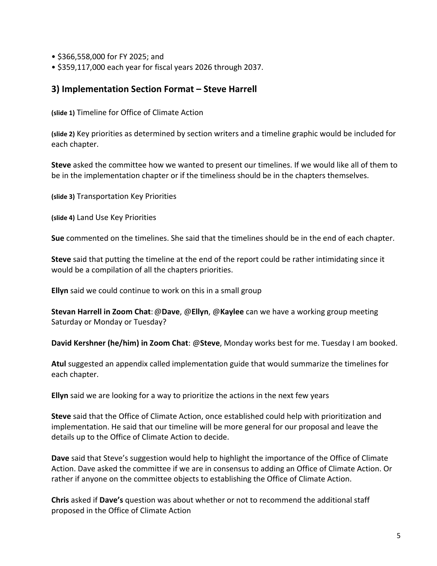- \$366,558,000 for FY 2025; and
- \$359,117,000 each year for fiscal years 2026 through 2037.

#### **3) Implementation Section Format – Steve Harrell**

**(slide 1)** Timeline for Office of Climate Action

**(slide 2)** Key priorities as determined by section writers and a timeline graphic would be included for each chapter.

**Steve** asked the committee how we wanted to present our timelines. If we would like all of them to be in the implementation chapter or if the timeliness should be in the chapters themselves.

**(slide 3)** Transportation Key Priorities

**(slide 4)** Land Use Key Priorities

**Sue** commented on the timelines. She said that the timelines should be in the end of each chapter.

**Steve** said that putting the timeline at the end of the report could be rather intimidating since it would be a compilation of all the chapters priorities.

**Ellyn** said we could continue to work on this in a small group

**Stevan Harrell in Zoom Chat**:@**Dave**, @**Ellyn**, @**Kaylee** can we have a working group meeting Saturday or Monday or Tuesday?

**David Kershner (he/him) in Zoom Chat**: @**Steve**, Monday works best for me. Tuesday I am booked.

**Atul** suggested an appendix called implementation guide that would summarize the timelines for each chapter.

**Ellyn** said we are looking for a way to prioritize the actions in the next few years

**Steve** said that the Office of Climate Action, once established could help with prioritization and implementation. He said that our timeline will be more general for our proposal and leave the details up to the Office of Climate Action to decide.

**Dave** said that Steve's suggestion would help to highlight the importance of the Office of Climate Action. Dave asked the committee if we are in consensus to adding an Office of Climate Action. Or rather if anyone on the committee objects to establishing the Office of Climate Action.

**Chris** asked if **Dave's** question was about whether or not to recommend the additional staff proposed in the Office of Climate Action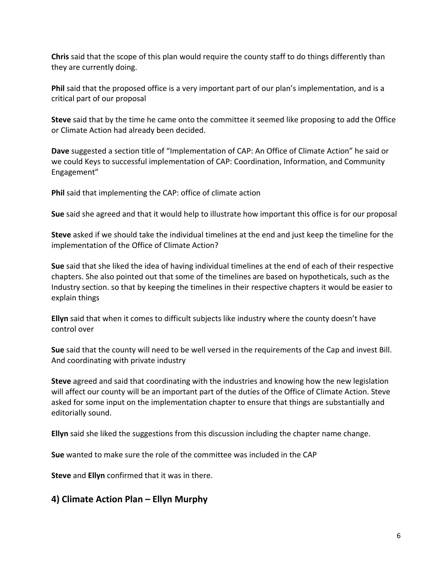**Chris** said that the scope of this plan would require the county staff to do things differently than they are currently doing.

**Phil** said that the proposed office is a very important part of our plan's implementation, and is a critical part of our proposal

**Steve** said that by the time he came onto the committee it seemed like proposing to add the Office or Climate Action had already been decided.

**Dave** suggested a section title of "Implementation of CAP: An Office of Climate Action" he said or we could Keys to successful implementation of CAP: Coordination, Information, and Community Engagement"

**Phil** said that implementing the CAP: office of climate action

**Sue** said she agreed and that it would help to illustrate how important this office is for our proposal

**Steve** asked if we should take the individual timelines at the end and just keep the timeline for the implementation of the Office of Climate Action?

**Sue** said that she liked the idea of having individual timelines at the end of each of their respective chapters. She also pointed out that some of the timelines are based on hypotheticals, such as the Industry section. so that by keeping the timelines in their respective chapters it would be easier to explain things

**Ellyn** said that when it comes to difficult subjects like industry where the county doesn't have control over

**Sue** said that the county will need to be well versed in the requirements of the Cap and invest Bill. And coordinating with private industry

**Steve** agreed and said that coordinating with the industries and knowing how the new legislation will affect our county will be an important part of the duties of the Office of Climate Action. Steve asked for some input on the implementation chapter to ensure that things are substantially and editorially sound.

**Ellyn** said she liked the suggestions from this discussion including the chapter name change.

**Sue** wanted to make sure the role of the committee was included in the CAP

**Steve** and **Ellyn** confirmed that it was in there.

#### **4) Climate Action Plan – Ellyn Murphy**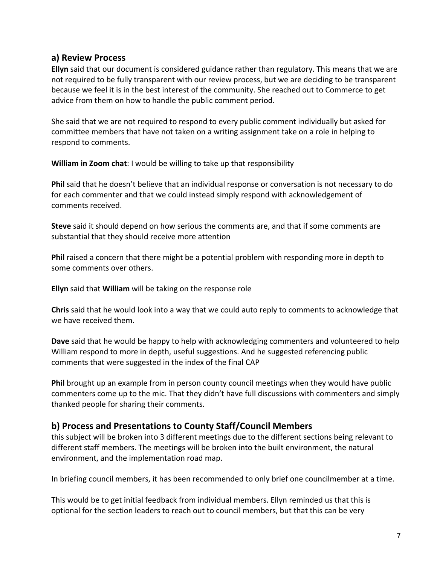#### **a) Review Process**

**Ellyn** said that our document is considered guidance rather than regulatory. This means that we are not required to be fully transparent with our review process, but we are deciding to be transparent because we feel it is in the best interest of the community. She reached out to Commerce to get advice from them on how to handle the public comment period.

She said that we are not required to respond to every public comment individually but asked for committee members that have not taken on a writing assignment take on a role in helping to respond to comments.

**William in Zoom chat**: I would be willing to take up that responsibility

**Phil** said that he doesn't believe that an individual response or conversation is not necessary to do for each commenter and that we could instead simply respond with acknowledgement of comments received.

**Steve** said it should depend on how serious the comments are, and that if some comments are substantial that they should receive more attention

**Phil** raised a concern that there might be a potential problem with responding more in depth to some comments over others.

**Ellyn** said that **William** will be taking on the response role

**Chris** said that he would look into a way that we could auto reply to comments to acknowledge that we have received them.

**Dave** said that he would be happy to help with acknowledging commenters and volunteered to help William respond to more in depth, useful suggestions. And he suggested referencing public comments that were suggested in the index of the final CAP

**Phil** brought up an example from in person county council meetings when they would have public commenters come up to the mic. That they didn't have full discussions with commenters and simply thanked people for sharing their comments.

# **b) Process and Presentations to County Staff/Council Members**

this subject will be broken into 3 different meetings due to the different sections being relevant to different staff members. The meetings will be broken into the built environment, the natural environment, and the implementation road map.

In briefing council members, it has been recommended to only brief one councilmember at a time.

This would be to get initial feedback from individual members. Ellyn reminded us that this is optional for the section leaders to reach out to council members, but that this can be very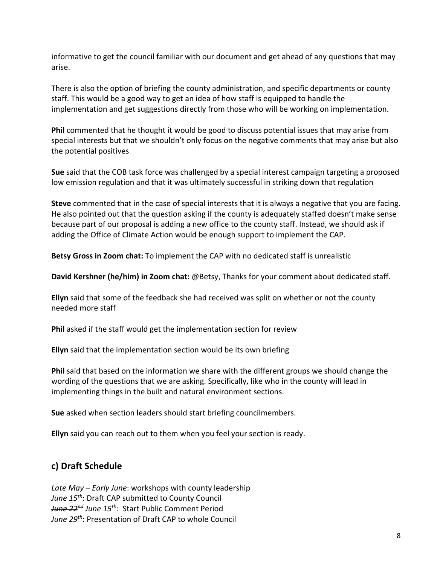informative to get the council familiar with our document and get ahead of any questions that may arise.

There is also the option of briefing the county administration, and specific departments or county staff. This would be a good way to get an idea of how staff is equipped to handle the implementation and get suggestions directly from those who will be working on implementation.

**Phil** commented that he thought it would be good to discuss potential issues that may arise from special interests but that we shouldn't only focus on the negative comments that may arise but also the potential positives

**Sue** said that the COB task force was challenged by a special interest campaign targeting a proposed low emission regulation and that it was ultimately successful in striking down that regulation

**Steve** commented that in the case of special interests that it is always a negative that you are facing. He also pointed out that the question asking if the county is adequately staffed doesn't make sense because part of our proposal is adding a new office to the county staff. Instead, we should ask if adding the Office of Climate Action would be enough support to implement the CAP.

**Betsy Gross in Zoom chat:** To implement the CAP with no dedicated staff is unrealistic

**David Kershner (he/him) in Zoom chat:** @Betsy, Thanks for your comment about dedicated staff.

**Ellyn** said that some of the feedback she had received was split on whether or not the county needed more staff

**Phil** asked if the staff would get the implementation section for review

**Ellyn** said that the implementation section would be its own briefing

**Phil** said that based on the information we share with the different groups we should change the wording of the questions that we are asking. Specifically, like who in the county will lead in implementing things in the built and natural environment sections.

**Sue** asked when section leaders should start briefing councilmembers.

**Ellyn** said you can reach out to them when you feel your section is ready.

# **c) Draft Schedule**

*Late May – Early June*: workshops with county leadership *June 15th*: Draft CAP submitted to County Council *June 22nd June 15th*: Start Public Comment Period *June 29th*: Presentation of Draft CAP to whole Council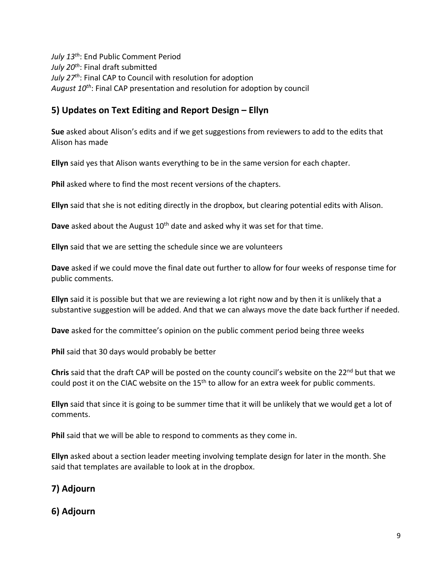*July 13th*: End Public Comment Period *July 20th*: Final draft submitted *July 27th*: Final CAP to Council with resolution for adoption *August 10th*: Final CAP presentation and resolution for adoption by council

# **5) Updates on Text Editing and Report Design – Ellyn**

**Sue** asked about Alison's edits and if we get suggestions from reviewers to add to the edits that Alison has made

**Ellyn** said yes that Alison wants everything to be in the same version for each chapter.

**Phil** asked where to find the most recent versions of the chapters.

**Ellyn** said that she is not editing directly in the dropbox, but clearing potential edits with Alison.

**Dave** asked about the August 10<sup>th</sup> date and asked why it was set for that time.

**Ellyn** said that we are setting the schedule since we are volunteers

**Dave** asked if we could move the final date out further to allow for four weeks of response time for public comments.

**Ellyn** said it is possible but that we are reviewing a lot right now and by then it is unlikely that a substantive suggestion will be added. And that we can always move the date back further if needed.

**Dave** asked for the committee's opinion on the public comment period being three weeks

**Phil** said that 30 days would probably be better

**Chris** said that the draft CAP will be posted on the county council's website on the 22<sup>nd</sup> but that we could post it on the CIAC website on the 15<sup>th</sup> to allow for an extra week for public comments.

**Ellyn** said that since it is going to be summer time that it will be unlikely that we would get a lot of comments.

**Phil** said that we will be able to respond to comments as they come in.

**Ellyn** asked about a section leader meeting involving template design for later in the month. She said that templates are available to look at in the dropbox.

# **7) Adjourn**

# **6) Adjourn**